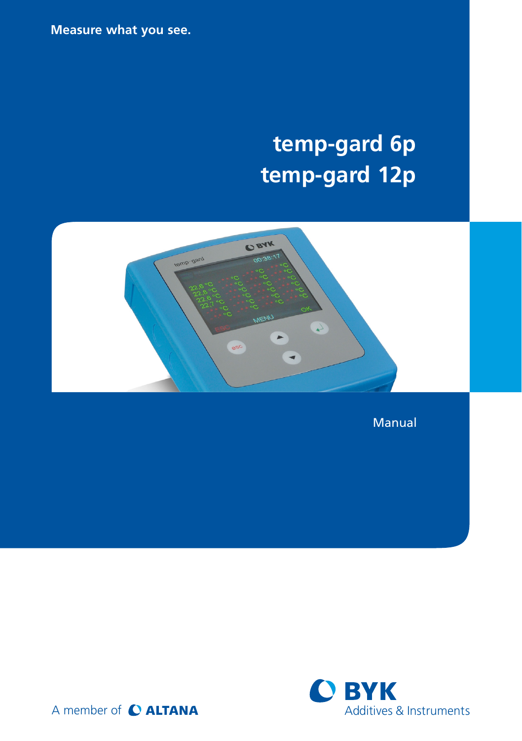**Measure what you see.**

# **temp-gard 6p temp-gard 12p**



Manual

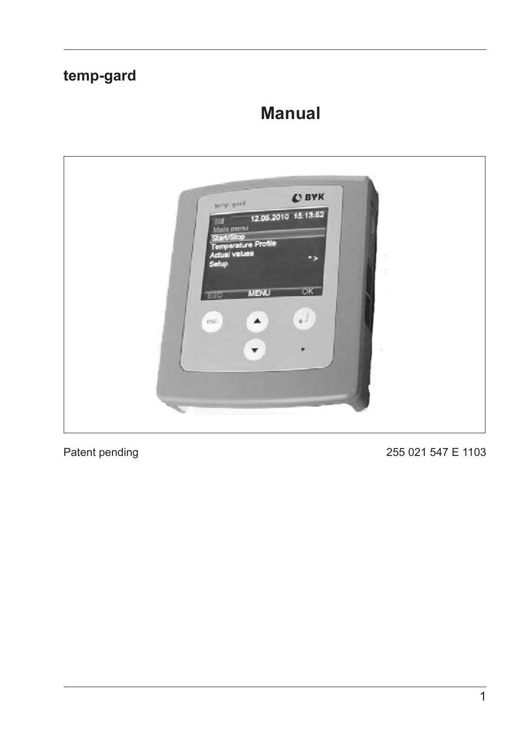# temp-gard

# **Manual**



Patent pending

255 021 547 E 1103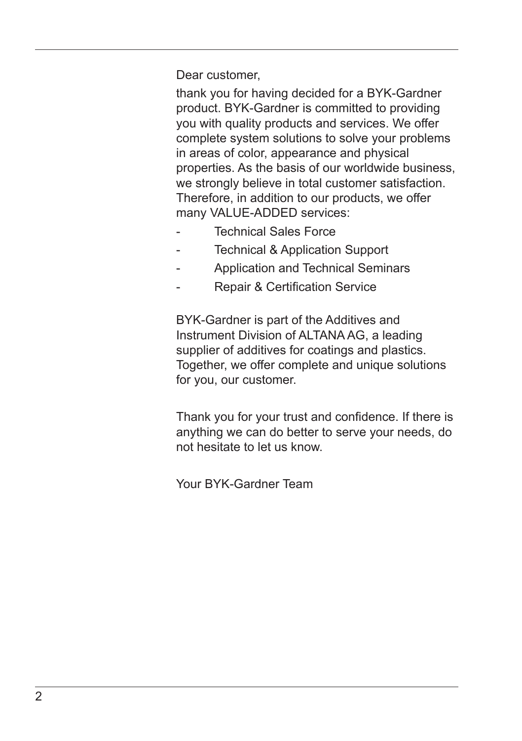Dear customer,

thank you for having decided for a BYK-Gardner product. BYK-Gardner is committed to providing you with quality products and services. We offer complete system solutions to solve your problems in areas of color, appearance and physical properties. As the basis of our worldwide business, we strongly believe in total customer satisfaction. Therefore, in addition to our products, we offer many VALUE-ADDED services:

- **Technical Sales Force**
- Technical & Application Support
- Application and Technical Seminars
- Repair & Certification Service

BYK-Gardner is part of the Additives and Instrument Division of ALTANA AG, a leading supplier of additives for coatings and plastics. Together, we offer complete and unique solutions for you, our customer.

Thank you for your trust and confidence. If there is anything we can do better to serve your needs, do not hesitate to let us know.

Your BYK-Gardner Team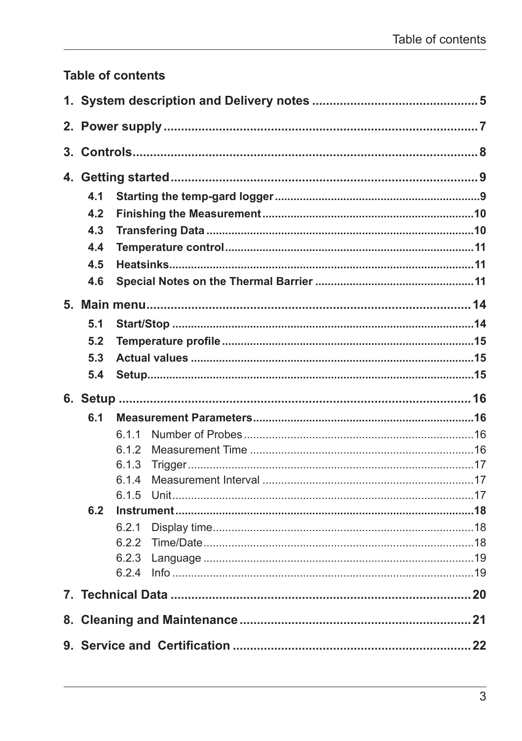### Table of contents

| 4.1 |       |  |  |  |
|-----|-------|--|--|--|
| 4.2 |       |  |  |  |
| 4.3 |       |  |  |  |
| 4.4 |       |  |  |  |
| 4.5 |       |  |  |  |
| 4.6 |       |  |  |  |
|     |       |  |  |  |
| 5.1 |       |  |  |  |
| 5.2 |       |  |  |  |
| 5.3 |       |  |  |  |
| 5.4 |       |  |  |  |
|     |       |  |  |  |
| 6.1 |       |  |  |  |
|     | 6.1.1 |  |  |  |
|     | 6.1.2 |  |  |  |
|     | 6.1.3 |  |  |  |
|     | 6.1.4 |  |  |  |
|     | 6.1.5 |  |  |  |
| 6.2 |       |  |  |  |
|     | 6.2.1 |  |  |  |
|     | 6.2.2 |  |  |  |
|     | 6.2.3 |  |  |  |
|     | 6.24  |  |  |  |
|     |       |  |  |  |
|     |       |  |  |  |
|     |       |  |  |  |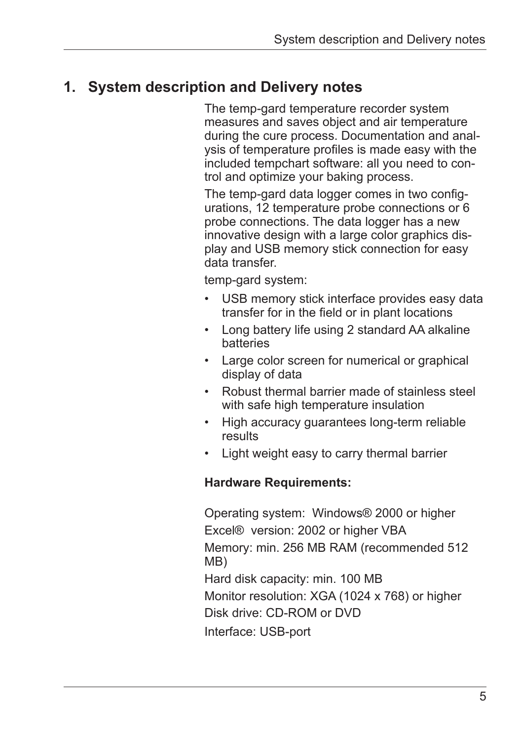# **1. System description and Delivery notes**

The temp-gard temperature recorder system measures and saves object and air temperature during the cure process. Documentation and analysis of temperature profiles is made easy with the included tempchart software: all you need to control and optimize your baking process.

The temp-gard data logger comes in two configurations, 12 temperature probe connections or 6 probe connections. The data logger has a new innovative design with a large color graphics display and USB memory stick connection for easy data transfer.

temp-gard system:

- USB memory stick interface provides easy data transfer for in the field or in plant locations
- • Long battery life using 2 standard AA alkaline batteries
- • Large color screen for numerical or graphical display of data
- • Robust thermal barrier made of stainless steel with safe high temperature insulation
- High accuracy guarantees long-term reliable results
- Light weight easy to carry thermal barrier

#### **Hardware Requirements:**

Operating system: Windows® 2000 or higher Excel® version: 2002 or higher VBA Memory: min. 256 MB RAM (recommended 512 MB) Hard disk capacity: min. 100 MB Monitor resolution: XGA (1024 x 768) or higher Disk drive: CD-ROM or DVD Interface: USB-port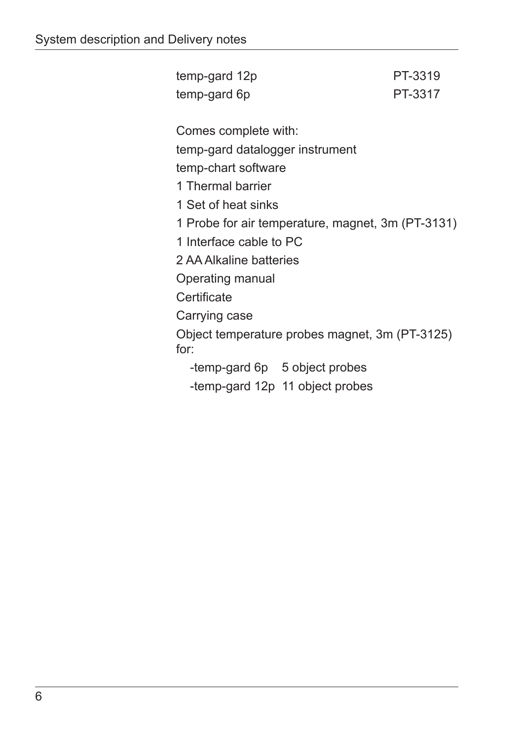temp-gard 12p PT-3319 temp-gard 6p PT-3317 Comes complete with: temp-gard datalogger instrument temp-chart software 1 Thermal barrier 1 Set of heat sinks 1 Probe for air temperature, magnet, 3m (PT-3131) 1 Interface cable to PC 2 AA Alkaline batteries Operating manual **Certificate** Carrying case Object temperature probes magnet, 3m (PT-3125) for: -temp-gard 6p 5 object probes -temp-gard 12p 11 object probes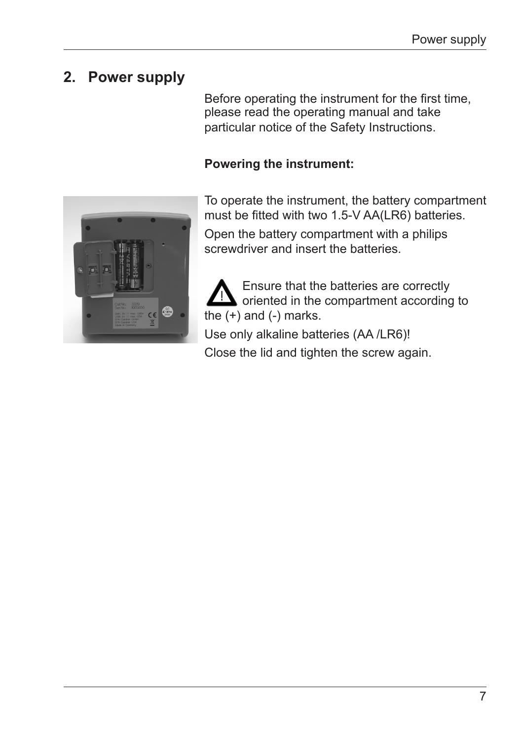# **2. Power supply**

Before operating the instrument for the first time, please read the operating manual and take particular notice of the Safety Instructions.

### **Powering the instrument:**



To operate the instrument, the battery compartment must be fitted with two 1.5-V AA(LR6) batteries.

Open the battery compartment with a philips screwdriver and insert the batteries.

Ensure that the batteries are correctly oriented in the compartment according to the  $(+)$  and  $(-)$  marks. Use only alkaline batteries (AA /LR6)! Close the lid and tighten the screw again.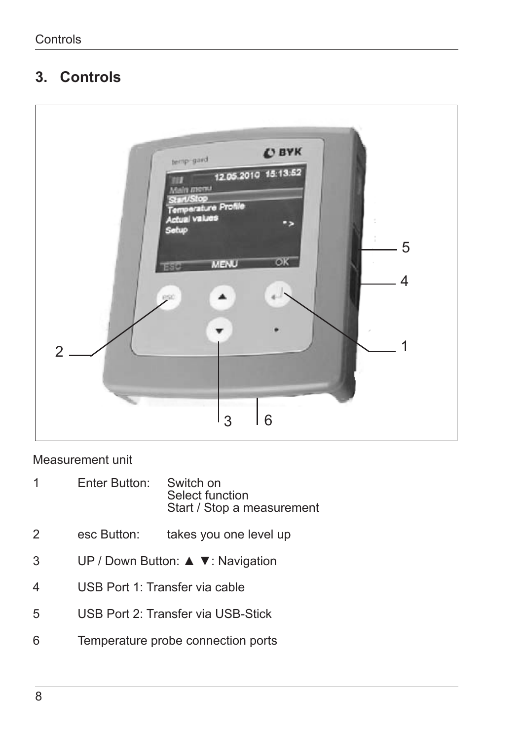# **3. Controls**



#### Measurement unit

- Enter Button: Switch on Select function Start / Stop a measurement
- esc Button: takes you one level up
- 3 UP / Down Button: ▲ ▼: Navigation
- USB Port 1: Transfer via cable
- USB Port 2: Transfer via USB-Stick
- Temperature probe connection ports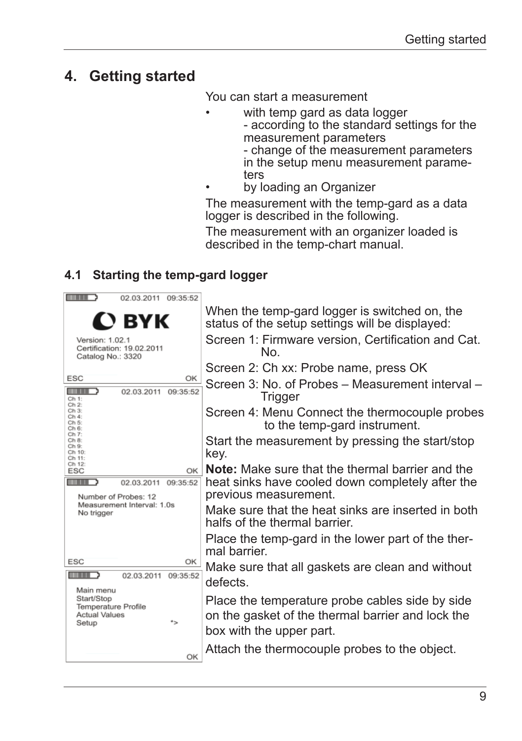# **4. Getting started**

You can start a measurement

- with temp gard as data logger
	- according to the standard settings for the measurement parameters

- change of the measurement parameters in the setup menu measurement parameters

by loading an Organizer

The measurement with the temp-gard as a data logger is described in the following.

The measurement with an organizer loaded is described in the temp-chart manual.

### **4.1 Starting the temp-gard logger**

| 02.03.2011 09:35:52                                                                   |                                                                                                                                  |
|---------------------------------------------------------------------------------------|----------------------------------------------------------------------------------------------------------------------------------|
| $\mathbf D$ BYK                                                                       | When the temp-gard logger is switched on, the<br>status of the setup settings will be displayed:                                 |
| Version: 1.02.1<br>Certification: 19.02.2011<br>Catalog No.: 3320                     | Screen 1: Firmware version, Certification and Cat.<br>No.                                                                        |
|                                                                                       | Screen 2: Ch xx: Probe name, press OK                                                                                            |
| <b>ESC</b><br>OK<br>02.03.2011<br>09:35:52<br>. .<br>Ch 1:                            | Screen 3: No. of Probes – Measurement interval –<br>Trigger                                                                      |
| $Ch2$ :<br>Ch 3:<br>Ch 4:<br>Ch 5:<br>Ch 6:                                           | Screen 4: Menu Connect the thermocouple probes<br>to the temp-gard instrument.                                                   |
| Ch 7:<br>Ch 8:<br>Ch 9:<br>Ch 10:<br>Ch 11:                                           | Start the measurement by pressing the start/stop<br>key.                                                                         |
| Ch 12:<br>OK I<br>ESC                                                                 | <b>Note:</b> Make sure that the thermal barrier and the                                                                          |
| 02.03.2011 09:35:52<br>Number of Probes: 12                                           | heat sinks have cooled down completely after the<br>previous measurement.                                                        |
| Measurement Interval: 1.0s<br>No trigger                                              | Make sure that the heat sinks are inserted in both<br>halfs of the thermal barrier.                                              |
|                                                                                       | Place the temp-gard in the lower part of the ther-<br>mal harrier                                                                |
| ESC<br>ОК<br>02.03.2011 09:35:52                                                      | Make sure that all gaskets are clean and without<br>defects.                                                                     |
| Main menu<br>Start/Stop<br>Temperature Profile<br><b>Actual Values</b><br>۰.<br>Setup | Place the temperature probe cables side by side<br>on the gasket of the thermal barrier and lock the<br>box with the upper part. |
| OK                                                                                    | Attach the thermocouple probes to the object.                                                                                    |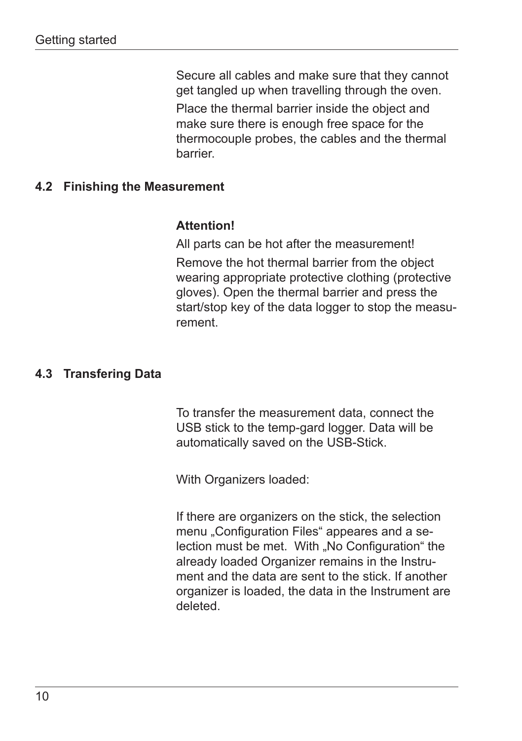Secure all cables and make sure that they cannot get tangled up when travelling through the oven.

Place the thermal barrier inside the object and make sure there is enough free space for the thermocouple probes, the cables and the thermal barrier.

#### **4.2 Finishing the Measurement**

#### **Attention!**

All parts can be hot after the measurement! Remove the hot thermal barrier from the object wearing appropriate protective clothing (protective gloves). Open the thermal barrier and press the start/stop key of the data logger to stop the measurement.

#### **4.3 Transfering Data**

To transfer the measurement data, connect the USB stick to the temp-gard logger. Data will be automatically saved on the USB-Stick.

With Organizers loaded:

If there are organizers on the stick, the selection menu "Configuration Files" appeares and a selection must be met. With "No Configuration" the already loaded Organizer remains in the Instrument and the data are sent to the stick. If another organizer is loaded, the data in the Instrument are deleted.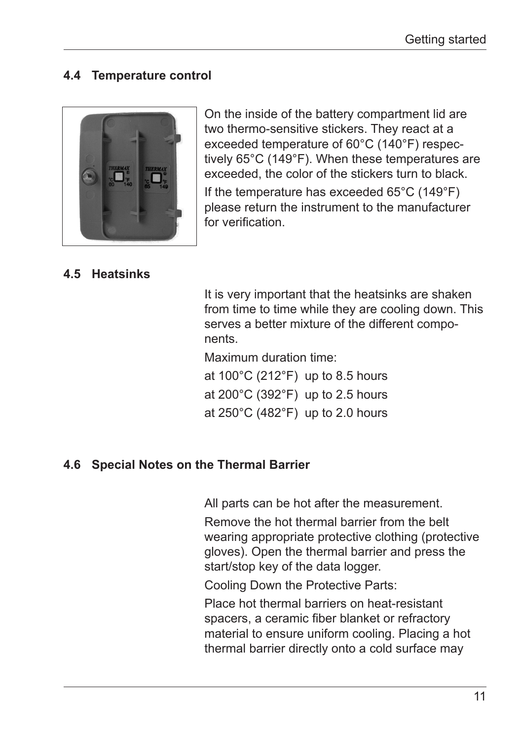#### **4.4 Temperature control**



On the inside of the battery compartment lid are two thermo-sensitive stickers. They react at a exceeded temperature of 60°C (140°F) respectively 65°C (149°F). When these temperatures are exceeded, the color of the stickers turn to black. If the temperature has exceeded 65°C (149°F) please return the instrument to the manufacturer for verification.

#### **4.5 Heatsinks**

It is very important that the heatsinks are shaken from time to time while they are cooling down. This serves a better mixture of the different components.

Maximum duration time:

at 100°C (212°F) up to 8.5 hours at 200°C (392°F) up to 2.5 hours at 250°C (482°F) up to 2.0 hours

#### **4.6 Special Notes on the Thermal Barrier**

All parts can be hot after the measurement.

Remove the hot thermal barrier from the belt wearing appropriate protective clothing (protective gloves). Open the thermal barrier and press the start/stop key of the data logger.

Cooling Down the Protective Parts:

Place hot thermal barriers on heat-resistant spacers, a ceramic fiber blanket or refractory material to ensure uniform cooling. Placing a hot thermal barrier directly onto a cold surface may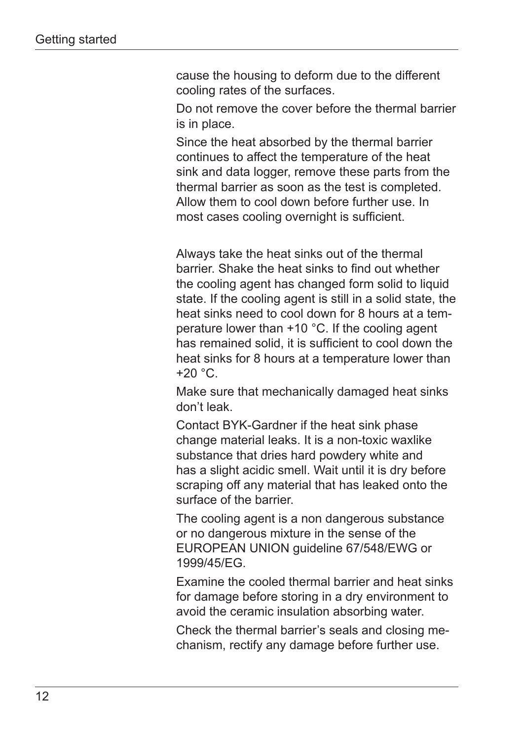cause the housing to deform due to the different cooling rates of the surfaces.

Do not remove the cover before the thermal barrier is in place.

Since the heat absorbed by the thermal barrier continues to affect the temperature of the heat sink and data logger, remove these parts from the thermal barrier as soon as the test is completed. Allow them to cool down before further use. In most cases cooling overnight is sufficient.

Always take the heat sinks out of the thermal barrier. Shake the heat sinks to find out whether the cooling agent has changed form solid to liquid state. If the cooling agent is still in a solid state, the heat sinks need to cool down for 8 hours at a temperature lower than +10 °C. If the cooling agent has remained solid, it is sufficient to cool down the heat sinks for 8 hours at a temperature lower than  $+20$  °C.

Make sure that mechanically damaged heat sinks don't leak.

Contact BYK-Gardner if the heat sink phase change material leaks. It is a non-toxic waxlike substance that dries hard powdery white and has a slight acidic smell. Wait until it is dry before scraping off any material that has leaked onto the surface of the barrier.

The cooling agent is a non dangerous substance or no dangerous mixture in the sense of the EUROPEAN UNION guideline 67/548/EWG or 1999/45/EG.

Examine the cooled thermal barrier and heat sinks for damage before storing in a dry environment to avoid the ceramic insulation absorbing water.

Check the thermal barrier's seals and closing mechanism, rectify any damage before further use.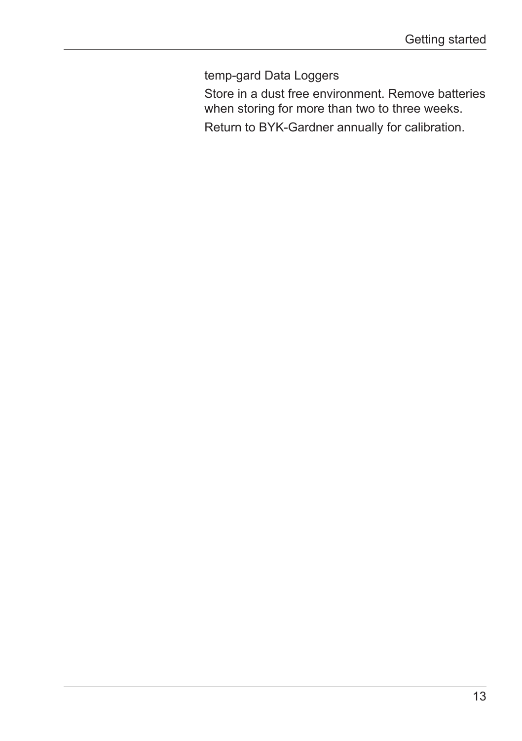temp-gard Data Loggers

Store in a dust free environment. Remove batteries when storing for more than two to three weeks.

Return to BYK-Gardner annually for calibration.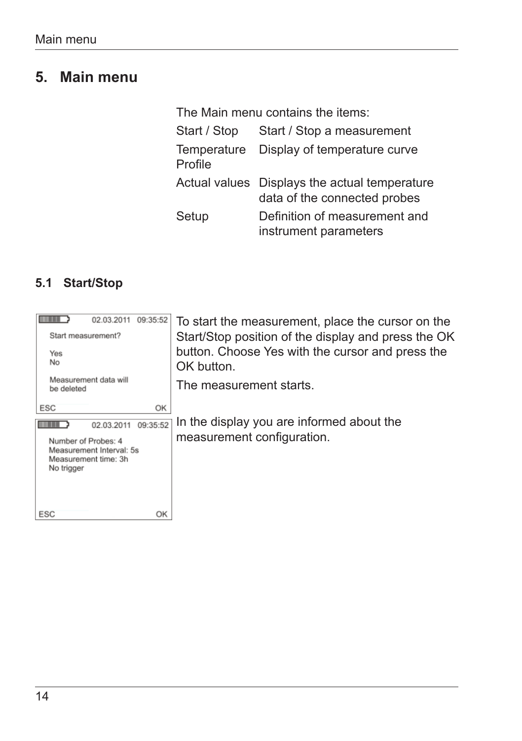# **5. Main menu**

| The Main menu contains the items: |                                                                               |  |
|-----------------------------------|-------------------------------------------------------------------------------|--|
| Start / Stop                      | Start / Stop a measurement                                                    |  |
| Profile                           | Temperature Display of temperature curve                                      |  |
|                                   | Actual values Displays the actual temperature<br>data of the connected probes |  |
| Setup                             | Definition of measurement and<br>instrument parameters                        |  |

### **5.1 Start/Stop**

| 09:35:52<br>02.03.2011<br>Start measurement?<br>Yes<br>No<br>Measurement data will<br>be deleted                | To start the measurement, place the cursor on the<br>Start/Stop position of the display and press the OK<br>button. Choose Yes with the cursor and press the<br>OK button.<br>The measurement starts. |
|-----------------------------------------------------------------------------------------------------------------|-------------------------------------------------------------------------------------------------------------------------------------------------------------------------------------------------------|
| OK<br>ESC                                                                                                       |                                                                                                                                                                                                       |
| 09:35:52<br>02.03.2011<br>Number of Probes: 4<br>Measurement Interval: 5s<br>Measurement time: 3h<br>No trigger | In the display you are informed about the<br>measurement configuration.                                                                                                                               |
| ESC<br>OK                                                                                                       |                                                                                                                                                                                                       |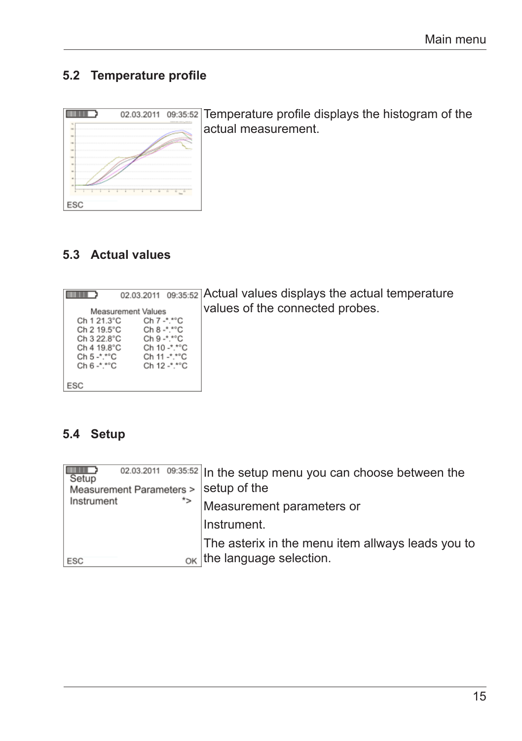### **5.2 Temperature profile**



02.03.2011 09:35:52 Temperature profile displays the histogram of the actual measurement.

### **5.3 Actual values**

| .              | 02.03.2011 09:35:52 |                             | Д |
|----------------|---------------------|-----------------------------|---|
|                | Measurement Values  |                             |   |
| Ch 1 21.3°C    |                     | Ch 7 -*.*°C                 |   |
| Ch 2 19.5°C    |                     | $Ch 8 - N^{\circ}C$         |   |
| Ch 3 22.8°C    |                     | $Ch 9 - \cdot ^* ^{\circ}C$ |   |
| Ch 4 19.8°C    |                     | Ch 10 -*.*°C                |   |
| Ch 5 -*.*°C    |                     | Ch 11 -*.*°C                |   |
| $Ch 6 -$ *.*°C |                     | Ch 12 -*.*°C                |   |
|                |                     |                             |   |
| ESC            |                     |                             |   |

Actual values displays the actual temperature alues of the connected probes.

### **5.4 Setup**

| Setup<br>Measurement Parameters > | 02.03.2011 09:35:52 In the setup menu you can choose between the<br>setup of the |
|-----------------------------------|----------------------------------------------------------------------------------|
| *><br>Instrument                  | Measurement parameters or                                                        |
|                                   | Instrument.                                                                      |
|                                   | The asterix in the menu item allways leads you to                                |
| ESC                               | $_{OK}$ the language selection.                                                  |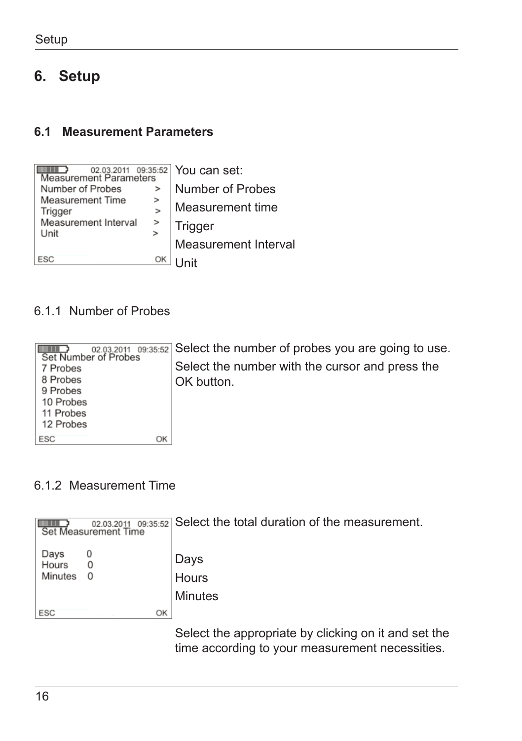# **6. Setup**

#### **6.1 Measurement Parameters**

| 02.03.2011 09:35:52<br><b>Measurement Parameters</b> |    | You can set:         |
|------------------------------------------------------|----|----------------------|
| Number of Probes                                     | >  | Number of Probes     |
| <b>Measurement Time</b><br>Trigger                   | >  | Measurement time     |
| Measurement Interval<br>Unit                         | >  | Trigger              |
|                                                      |    | Measurement Interval |
| ESC                                                  | OK | Init                 |

### 6.1.1 Number of Probes

|           | 02.03.2011 09:35:52 Select the number of probes you are going to use.<br>Set Number of Probes |
|-----------|-----------------------------------------------------------------------------------------------|
| 7 Probes  | Select the number with the cursor and press the                                               |
| 8 Probes  | OK button.                                                                                    |
| 9 Probes  |                                                                                               |
| 10 Probes |                                                                                               |
| 11 Probes |                                                                                               |
| 12 Probes |                                                                                               |
| ESC<br>ОΚ |                                                                                               |

#### 6.1.2 Measurement Time

|                          | 02.03.2011<br>Set Measurement Time |    | 09:35:52 Select the total duration of the measurement. |
|--------------------------|------------------------------------|----|--------------------------------------------------------|
| Days<br>Hours<br>Minutes | 0<br>$\Omega$                      |    | Days<br>Hours                                          |
|                          |                                    |    | Minutes                                                |
| ESC                      |                                    | OK |                                                        |
|                          |                                    |    | Select the annropriate by clicking on it and set th    |

Select the appropriate by clicking on it and set the time according to your measurement necessities.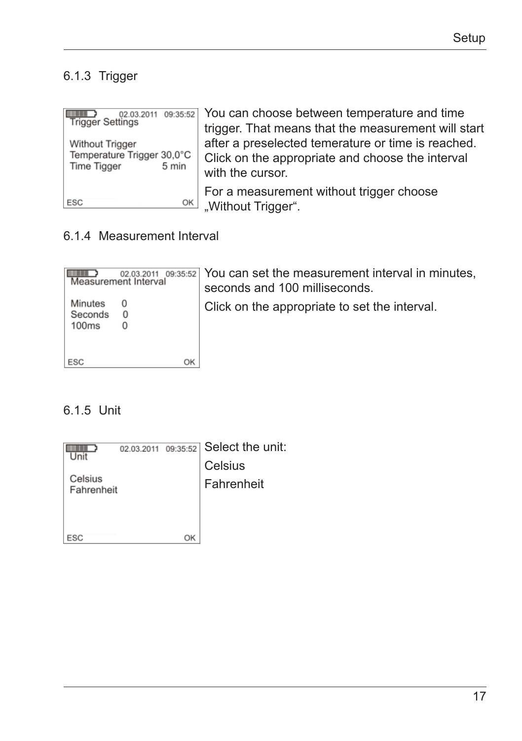### 6.1.3 Trigger

| Trigger Settings                                                      | 02.03.2011 09:35:52 You can choose between temperature and time<br>trigger. That means that the measurement will start     |
|-----------------------------------------------------------------------|----------------------------------------------------------------------------------------------------------------------------|
| Without Trigger<br>Temperature Trigger 30,0°C<br>5 min<br>Time Tigger | after a preselected temerature or time is reached.<br>Click on the appropriate and choose the interval<br>with the cursor. |
| ESC<br>OK                                                             | For a measurement without trigger choose<br>"Without Trigger".                                                             |

### 6.1.4 Measurement Interval

| 02.03.2011<br>Measurement Interval         | $\lceil$ 09:35:52 You can set the measurement interval in minutes,<br>seconds and 100 milliseconds. |
|--------------------------------------------|-----------------------------------------------------------------------------------------------------|
| Minutes<br>0<br>Seconds<br>0<br>100ms<br>0 | Click on the appropriate to set the interval.                                                       |
| ESC<br>ОK                                  |                                                                                                     |

#### 6.1.5 Unit

|                       |    | $_{02.03.2011}$ $_{09:35:52}$ Select the unit: |
|-----------------------|----|------------------------------------------------|
|                       |    | Celsius                                        |
| Celsius<br>Fahrenheit |    | Fahrenheit                                     |
|                       |    |                                                |
|                       |    |                                                |
| ESC                   | ΩK |                                                |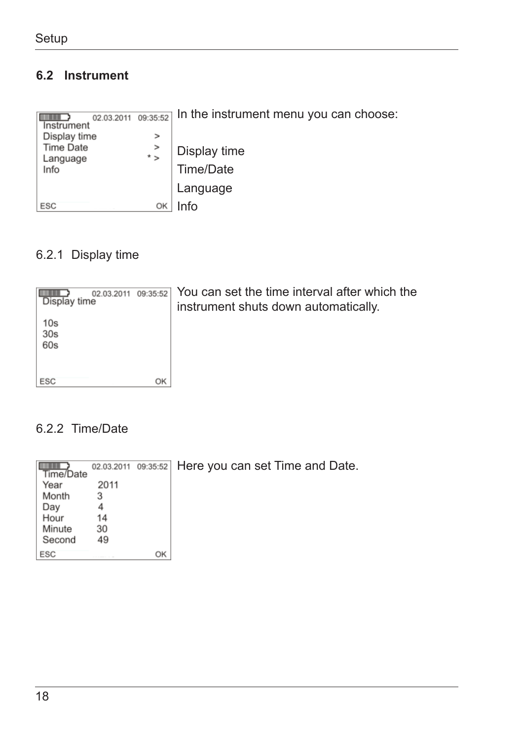### **6.2 Instrument**

| 02.03.2011<br>Instrument<br>Display time | 09:35:52<br>> | In the instrument menu you can choose: |
|------------------------------------------|---------------|----------------------------------------|
| Time Date<br>Language                    | ><br>* >      | Display time                           |
| Info                                     |               | Time/Date                              |
|                                          |               | Language                               |
| ESC                                      | OK            | nfo                                    |

### 6.2.1 Display time



### 6.2.2 Time/Date

|           |      |    | 02.03.2011 09:35:52 Here you can set Time and Date. |
|-----------|------|----|-----------------------------------------------------|
| Time/Date |      |    |                                                     |
| Year      | 2011 |    |                                                     |
| Month     |      |    |                                                     |
| Day       |      |    |                                                     |
| Hour      | 14   |    |                                                     |
| Minute    | 30   |    |                                                     |
| Second    | 49   |    |                                                     |
| ESC       |      | OK |                                                     |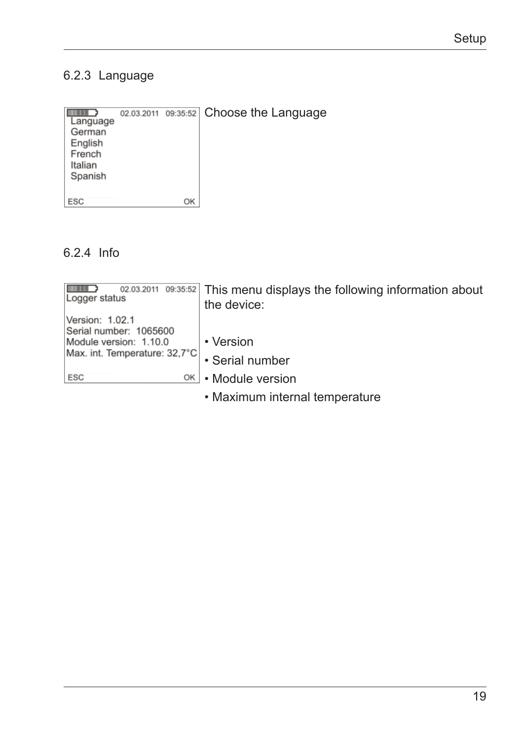### 6.2.3 Language

| Language<br>German<br>English<br>French<br>Italian<br>Spanish |    | 02.03.2011 09:35:52 Choose the Language |
|---------------------------------------------------------------|----|-----------------------------------------|
| ESC                                                           | OK |                                         |

### 6.2.4 Info

| 02.03.2011 09:35:52<br>Logger status      | This menu displays the following information about<br>the device: |
|-------------------------------------------|-------------------------------------------------------------------|
| Version: 1.02.1<br>Serial number: 1065600 |                                                                   |
| Module version: 1.10.0                    | • Version                                                         |
| Max. int. Temperature: 32,7°C             | · Serial number                                                   |
| ESC<br>OK                                 | • Module version                                                  |
|                                           |                                                                   |

• Maximum internal temperature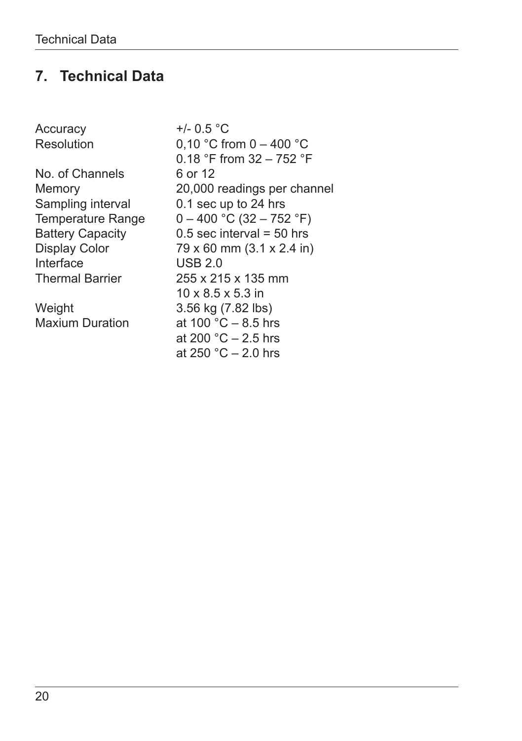# **7. Technical Data**

| Accuracy                | +/- $0.5 °C$                  |
|-------------------------|-------------------------------|
| Resolution              | 0,10 °C from $0 - 400$ °C     |
|                         | 0.18 °F from 32 - 752 °F      |
| No. of Channels         | 6 or 12                       |
| Memory                  | 20,000 readings per channel   |
| Sampling interval       | 0.1 sec up to 24 hrs          |
| Temperature Range       | $0 - 400$ °C (32 - 752 °F)    |
| <b>Battery Capacity</b> | $0.5$ sec interval = 50 hrs   |
| <b>Display Color</b>    | 79 x 60 mm (3.1 x 2.4 in)     |
| Interface               | <b>USB 2.0</b>                |
| <b>Thermal Barrier</b>  | 255 x 215 x 135 mm            |
|                         | $10 \times 8.5 \times 5.3$ in |
| Weight                  | 3.56 kg (7.82 lbs)            |
| <b>Maxium Duration</b>  | at 100 °C $-$ 8.5 hrs         |
|                         | at 200 °C $-$ 2.5 hrs         |
|                         | at 250 °C $-$ 2.0 hrs         |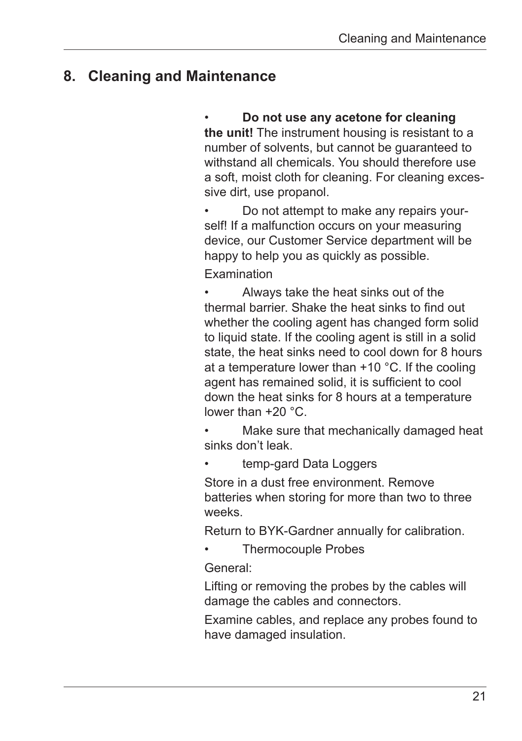# **8. Cleaning and Maintenance**

### **Do not use any acetone for cleaning**

**the unit!** The instrument housing is resistant to a number of solvents, but cannot be guaranteed to withstand all chemicals. You should therefore use a soft, moist cloth for cleaning. For cleaning excessive dirt, use propanol.

Do not attempt to make any repairs yourself! If a malfunction occurs on your measuring device, our Customer Service department will be happy to help you as quickly as possible.

Examination

Always take the heat sinks out of the thermal barrier. Shake the heat sinks to find out whether the cooling agent has changed form solid to liquid state. If the cooling agent is still in a solid state, the heat sinks need to cool down for 8 hours at a temperature lower than +10 °C. If the cooling agent has remained solid, it is sufficient to cool down the heat sinks for 8 hours at a temperature lower than +20 °C.

Make sure that mechanically damaged heat sinks don't leak.

temp-gard Data Loggers

Store in a dust free environment. Remove batteries when storing for more than two to three weeks.

Return to BYK-Gardner annually for calibration.

Thermocouple Probes

General:

Lifting or removing the probes by the cables will damage the cables and connectors.

Examine cables, and replace any probes found to have damaged insulation.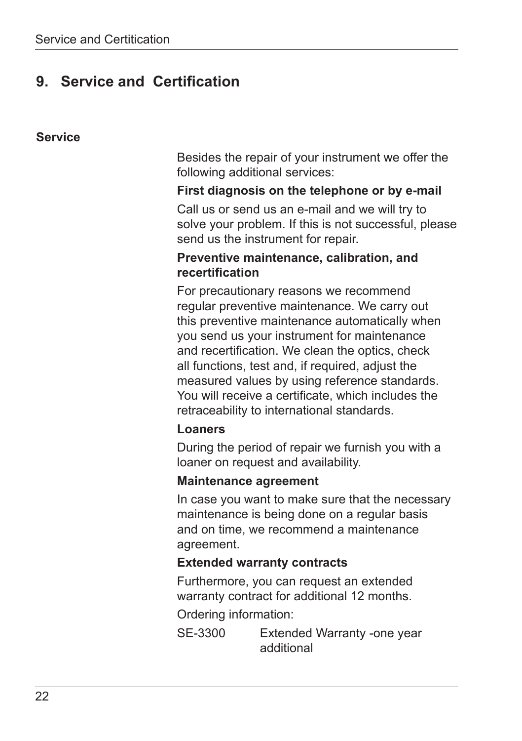# **9. Service and Certification**

#### **Service**

Besides the repair of your instrument we offer the following additional services:

#### **First diagnosis on the telephone or by e-mail**

Call us or send us an e-mail and we will try to solve your problem. If this is not successful, please send us the instrument for repair.

#### **Preventive maintenance, calibration, and recertification**

For precautionary reasons we recommend regular preventive maintenance. We carry out this preventive maintenance automatically when you send us your instrument for maintenance and recertification. We clean the optics, check all functions, test and, if required, adjust the measured values by using reference standards. You will receive a certificate, which includes the retraceability to international standards.

#### **Loaners**

During the period of repair we furnish you with a loaner on request and availability.

#### **Maintenance agreement**

In case you want to make sure that the necessary maintenance is being done on a regular basis and on time, we recommend a maintenance agreement.

#### **Extended warranty contracts**

Furthermore, you can request an extended warranty contract for additional 12 months.

Ordering information:

SE-3300 Extended Warranty -one year additional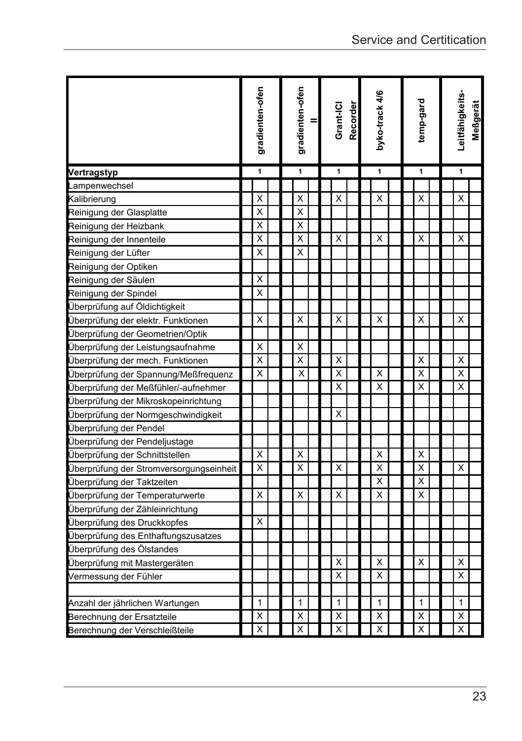|                                         |   | gradienten-ofen |   | gradienten-ofen<br>$=$ |   |  | Grant-ICI<br>Recorder |   |  | byko-track 4/6 |                         |  | temp-gard |   |  | Leitfähigkeits-<br>Meßgerät |   |  |
|-----------------------------------------|---|-----------------|---|------------------------|---|--|-----------------------|---|--|----------------|-------------------------|--|-----------|---|--|-----------------------------|---|--|
| Vertragstyp                             | 1 |                 | 1 |                        | 1 |  | 1                     |   |  | 1              |                         |  | 1         |   |  |                             |   |  |
| ampenwechsel                            |   |                 |   |                        |   |  |                       |   |  |                |                         |  |           |   |  |                             |   |  |
| Kalibrierung                            |   | X               |   |                        | X |  |                       | X |  |                | X                       |  |           | X |  |                             | X |  |
| Reinigung der Glasplatte                |   | X               |   |                        | X |  |                       |   |  |                |                         |  |           |   |  |                             |   |  |
| Reinigung der Heizbank                  |   | X               |   |                        | Χ |  |                       |   |  |                |                         |  |           |   |  |                             |   |  |
| Reinigung der Innenteile                |   | X               |   |                        | X |  |                       | X |  |                | X                       |  |           | X |  |                             | X |  |
| Reinigung der Lüfter                    |   | X               |   |                        | X |  |                       |   |  |                |                         |  |           |   |  |                             |   |  |
| Reinigung der Optiken                   |   |                 |   |                        |   |  |                       |   |  |                |                         |  |           |   |  |                             |   |  |
| Reinigung der Säulen                    |   | Χ               |   |                        |   |  |                       |   |  |                |                         |  |           |   |  |                             |   |  |
| Reinigung der Spindel                   |   | X               |   |                        |   |  |                       |   |  |                |                         |  |           |   |  |                             |   |  |
| Überprüfung auf Öldichtigkeit           |   |                 |   |                        |   |  |                       |   |  |                |                         |  |           |   |  |                             |   |  |
| Überprüfung der elektr. Funktionen      |   | X               |   |                        | X |  |                       | X |  |                | X                       |  |           | X |  |                             | X |  |
| Überprüfung der Geometrien/Optik        |   |                 |   |                        |   |  |                       |   |  |                |                         |  |           |   |  |                             |   |  |
| Überprüfung der Leistungsaufnahme       |   | Χ               |   |                        | Χ |  |                       |   |  |                |                         |  |           |   |  |                             |   |  |
| Überprüfung der mech. Funktionen        |   | X               |   |                        | X |  |                       | X |  |                |                         |  |           | Χ |  |                             | X |  |
| Überprüfung der Spannung/Meßfrequenz    |   | X               |   |                        | X |  |                       | X |  |                | x                       |  |           | X |  |                             | X |  |
| Überprüfung der Meßfühler/-aufnehmer    |   |                 |   |                        |   |  |                       | X |  |                | X                       |  |           | Χ |  |                             | X |  |
| Überprüfung der Mikroskopeinrichtung    |   |                 |   |                        |   |  |                       |   |  |                |                         |  |           |   |  |                             |   |  |
| Überprüfung der Normgeschwindigkeit     |   |                 |   |                        |   |  |                       | X |  |                |                         |  |           |   |  |                             |   |  |
| Überprüfung der Pendel                  |   |                 |   |                        |   |  |                       |   |  |                |                         |  |           |   |  |                             |   |  |
| Überprüfung der Pendeljustage           |   |                 |   |                        |   |  |                       |   |  |                |                         |  |           |   |  |                             |   |  |
| Überprüfung der Schnittstellen          |   | X               |   |                        | X |  |                       |   |  |                | X                       |  |           | Χ |  |                             |   |  |
| Überprüfung der Stromversorgungseinheit |   | X               |   |                        | X |  |                       | X |  |                | X                       |  |           | X |  |                             | X |  |
| Überprüfung der Taktzeiten              |   |                 |   |                        |   |  |                       |   |  |                | X                       |  |           | X |  |                             |   |  |
| Überprüfung der Temperaturwerte         |   | X               |   |                        | X |  |                       | X |  |                | X                       |  |           | X |  |                             |   |  |
| Überprüfung der Zähleinrichtung         |   |                 |   |                        |   |  |                       |   |  |                |                         |  |           |   |  |                             |   |  |
| Überprüfung des Druckkopfes             |   | X               |   |                        |   |  |                       |   |  |                |                         |  |           |   |  |                             |   |  |
| Überprüfung des Enthaftungszusatzes     |   |                 |   |                        |   |  |                       |   |  |                |                         |  |           |   |  |                             |   |  |
| Überprüfung des Ölstandes               |   |                 |   |                        |   |  |                       |   |  |                |                         |  |           |   |  |                             |   |  |
| Überprüfung mit Mastergeräten           |   |                 |   |                        |   |  |                       | X |  |                | X                       |  |           | X |  |                             | X |  |
| Vermessung der Fühler                   |   |                 |   |                        |   |  |                       | X |  |                | X                       |  |           |   |  |                             | X |  |
|                                         |   |                 |   |                        |   |  |                       |   |  |                |                         |  |           |   |  |                             |   |  |
| Anzahl der jährlichen Wartungen         |   | 1               |   |                        | 1 |  |                       | 1 |  |                | 1                       |  |           | 1 |  |                             | 1 |  |
| Berechnung der Ersatzteile              |   | Χ               |   |                        | Χ |  |                       | X |  |                | Χ                       |  |           | Χ |  |                             | Χ |  |
| Berechnung der Verschleißteile          |   | X               |   |                        | X |  |                       | X |  |                | $\overline{\mathsf{x}}$ |  |           | X |  |                             | X |  |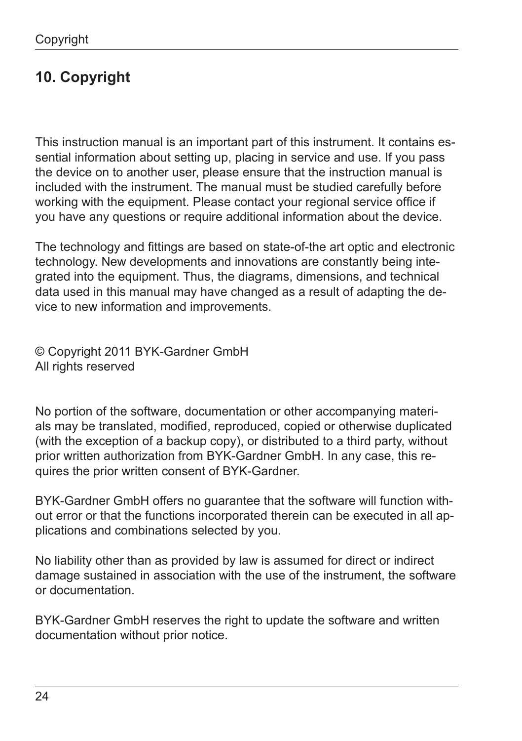# **10. Copyright**

This instruction manual is an important part of this instrument. It contains essential information about setting up, placing in service and use. If you pass the device on to another user, please ensure that the instruction manual is included with the instrument. The manual must be studied carefully before working with the equipment. Please contact your regional service office if you have any questions or require additional information about the device.

The technology and fittings are based on state-of-the art optic and electronic technology. New developments and innovations are constantly being integrated into the equipment. Thus, the diagrams, dimensions, and technical data used in this manual may have changed as a result of adapting the device to new information and improvements.

© Copyright 2011 BYK-Gardner GmbH All rights reserved

No portion of the software, documentation or other accompanying materials may be translated, modified, reproduced, copied or otherwise duplicated (with the exception of a backup copy), or distributed to a third party, without prior written authorization from BYK-Gardner GmbH. In any case, this requires the prior written consent of BYK-Gardner.

BYK-Gardner GmbH offers no guarantee that the software will function without error or that the functions incorporated therein can be executed in all applications and combinations selected by you.

No liability other than as provided by law is assumed for direct or indirect damage sustained in association with the use of the instrument, the software or documentation.

BYK-Gardner GmbH reserves the right to update the software and written documentation without prior notice.